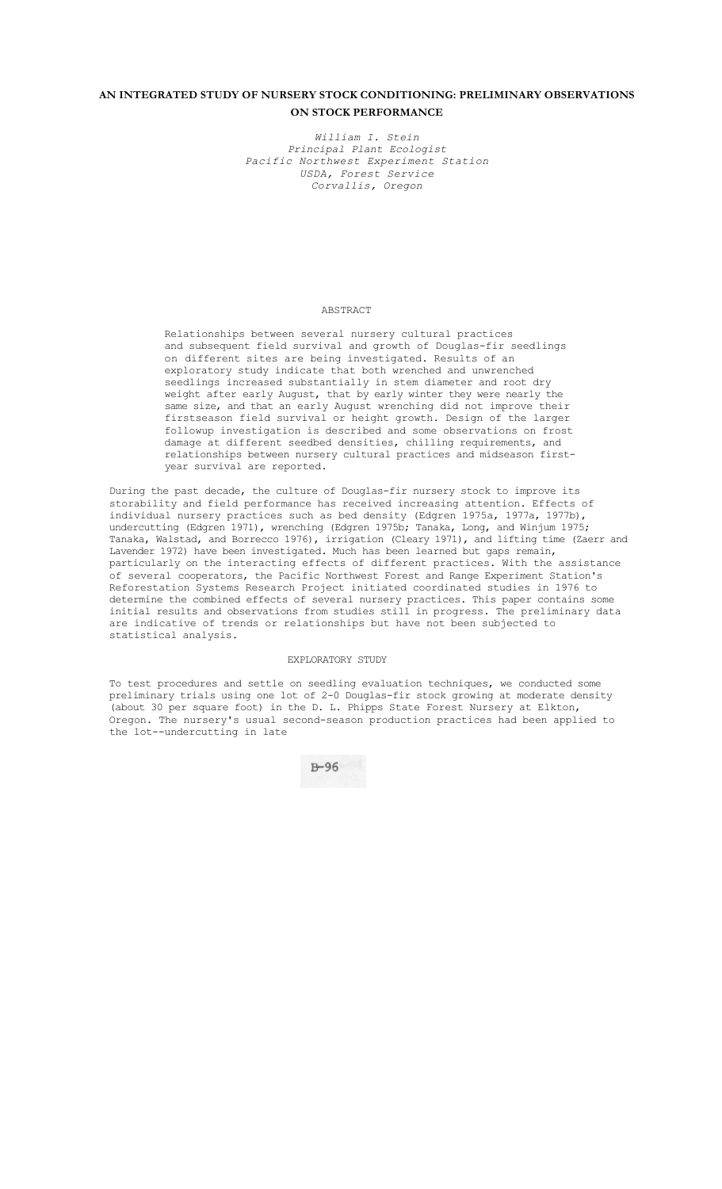# **AN INTEGRATED STUDY OF NURSERY STOCK CONDITIONING: PRELIMINARY OBSERVATIONS ON STOCK PERFORMANCE**

*William I. Stein Principal Plant Ecologist Pacific Northwest Experiment Station USDA, Forest Service Corvallis, Oregon* 

## ABSTRACT

Relationships between several nursery cultural practices and subsequent field survival and growth of Douglas-fir seedlings on different sites are being investigated. Results of an exploratory study indicate that both wrenched and unwrenched seedlings increased substantially in stem diameter and root dry weight after early August, that by early winter they were nearly the same size, and that an early August wrenching did not improve their firstseason field survival or height growth. Design of the larger followup investigation is described and some observations on frost damage at different seedbed densities, chilling requirements, and relationships between nursery cultural practices and midseason firstyear survival are reported.

During the past decade, the culture of Douglas-fir nursery stock to improve its storability and field performance has received increasing attention. Effects of individual nursery practices such as bed density (Edgren 1975a, 1977a, 1977b), undercutting (Edgren 1971), wrenching (Edgren 1975b; Tanaka, Long, and Winjum 1975; Tanaka, Walstad, and Borrecco 1976), irrigation (Cleary 1971), and lifting time (Zaerr and Lavender 1972) have been investigated. Much has been learned but gaps remain, particularly on the interacting effects of different practices. With the assistance of several cooperators, the Pacific Northwest Forest and Range Experiment Station's Reforestation Systems Research Project initiated coordinated studies in 1976 to determine the combined effects of several nursery practices. This paper contains some initial results and observations from studies still in progress. The preliminary data are indicative of trends or relationships but have not been subjected to statistical analysis.

## EXPLORATORY STUDY

To test procedures and settle on seedling evaluation techniques, we conducted some preliminary trials using one lot of 2-0 Douglas-fir stock growing at moderate density (about 30 per square foot) in the D. L. Phipps State Forest Nursery at Elkton, Oregon. The nursery's usual second-season production practices had been applied to the lot--undercutting in late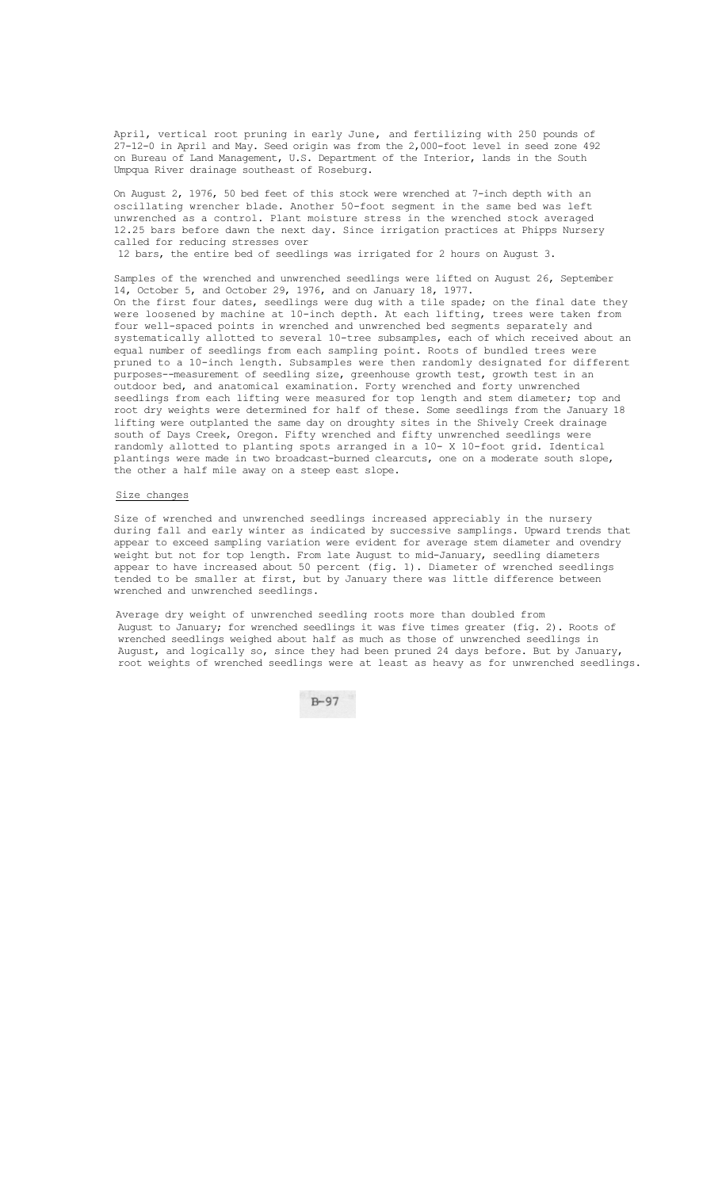April, vertical root pruning in early June, and fertilizing with 250 pounds of 27-12-0 in April and May. Seed origin was from the 2,000-foot level in seed zone 492 on Bureau of Land Management, U.S. Department of the Interior, lands in the South Umpqua River drainage southeast of Roseburg.

On August 2, 1976, 50 bed feet of this stock were wrenched at 7-inch depth with an oscillating wrencher blade. Another 50-foot segment in the same bed was left unwrenched as a control. Plant moisture stress in the wrenched stock averaged 12.25 bars before dawn the next day. Since irrigation practices at Phipps Nursery called for reducing stresses over

12 bars, the entire bed of seedlings was irrigated for 2 hours on August 3.

Samples of the wrenched and unwrenched seedlings were lifted on August 26, September 14, October 5, and October 29, 1976, and on January 18, 1977. On the first four dates, seedlings were dug with a tile spade; on the final date they were loosened by machine at 10-inch depth. At each lifting, trees were taken from four well-spaced points in wrenched and unwrenched bed segments separately and systematically allotted to several 10-tree subsamples, each of which received about an equal number of seedlings from each sampling point. Roots of bundled trees were pruned to a 10-inch length. Subsamples were then randomly designated for different purposes--measurement of seedling size, greenhouse growth test, growth test in an outdoor bed, and anatomical examination. Forty wrenched and forty unwrenched seedlings from each lifting were measured for top length and stem diameter; top and root dry weights were determined for half of these. Some seedlings from the January 18 lifting were outplanted the same day on droughty sites in the Shively Creek drainage south of Days Creek, Oregon. Fifty wrenched and fifty unwrenched seedlings were randomly allotted to planting spots arranged in a 10- X 10-foot grid. Identical plantings were made in two broadcast-burned clearcuts, one on a moderate south slope, the other a half mile away on a steep east slope.

### Size changes

Size of wrenched and unwrenched seedlings increased appreciably in the nursery during fall and early winter as indicated by successive samplings. Upward trends that appear to exceed sampling variation were evident for average stem diameter and ovendry weight but not for top length. From late August to mid-January, seedling diameters appear to have increased about 50 percent (fig. 1). Diameter of wrenched seedlings tended to be smaller at first, but by January there was little difference between wrenched and unwrenched seedlings.

Average dry weight of unwrenched seedling roots more than doubled from August to January; for wrenched seedlings it was five times greater (fig. 2). Roots of wrenched seedlings weighed about half as much as those of unwrenched seedlings in August, and logically so, since they had been pruned 24 days before. But by January, root weights of wrenched seedlings were at least as heavy as for unwrenched seedlings.

 $B - 97$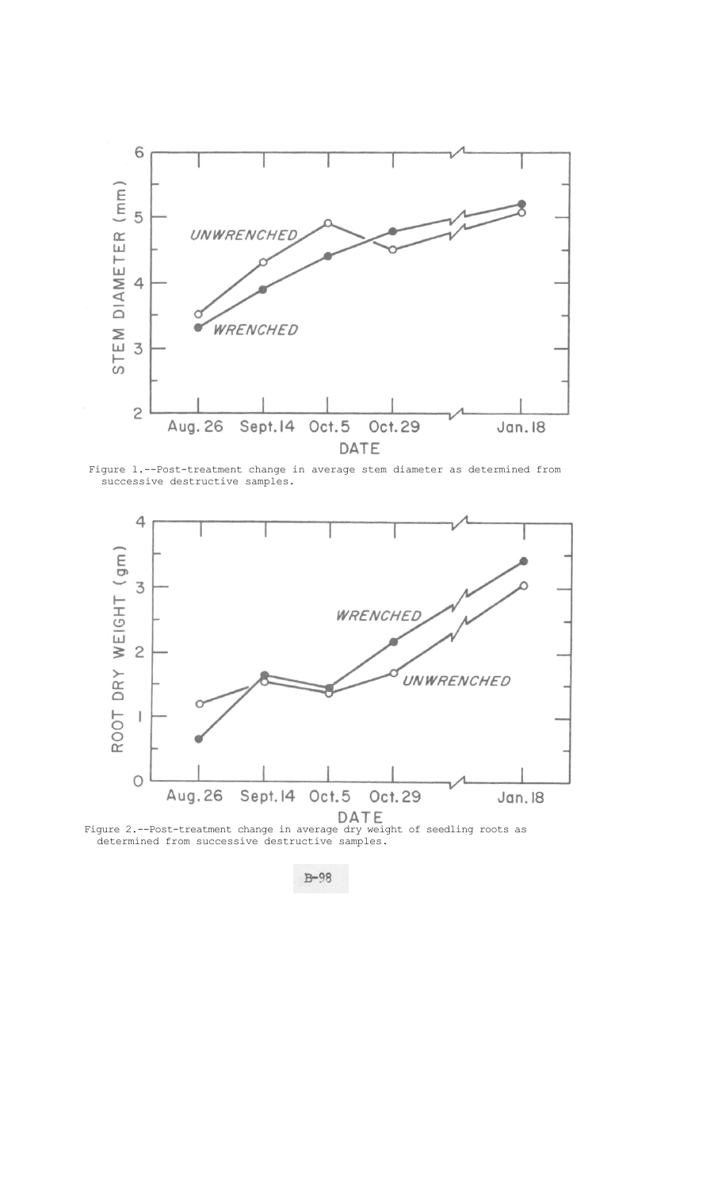

Figure l.--Post-treatment change in average stem diameter as determined from successive destructive samples.



 Figure 2.--Post-treatment change in average dry weight of seedling roots as determined from successive destructive samples.

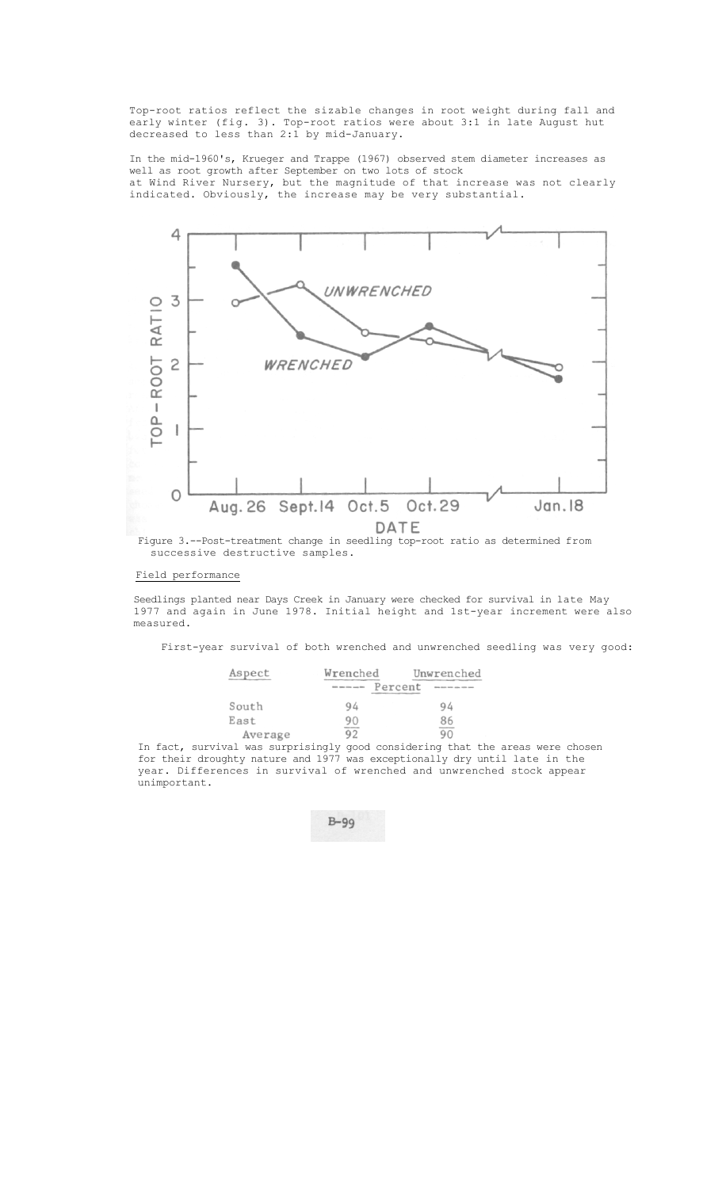Top-root ratios reflect the sizable changes in root weight during fall and early winter (fig. 3). Top-root ratios were about 3:1 in late August hut decreased to less than 2:1 by mid-January.

In the mid-1960's, Krueger and Trappe (1967) observed stem diameter increases as well as root growth after September on two lots of stock at Wind River Nursery, but the magnitude of that increase was not clearly indicated. Obviously, the increase may be very substantial.



# successive destructive samples.

## Field performance

Seedlings planted near Days Creek in January were checked for survival in late May 1977 and again in June 1978. Initial height and 1st-year increment were also measured.

First-year survival of both wrenched and unwrenched seedling was very good:

| Aspect  | Wrenched |         | Unwrenched |  |
|---------|----------|---------|------------|--|
|         |          | Percent |            |  |
| South   | 94       |         | 94         |  |
| East    | 90       |         | 86         |  |
| Average | 92       |         | 90         |  |

Average 92<br>In fact, survival was surprisingly good considering that the areas were chosen for their droughty nature and 1977 was exceptionally dry until late in the year. Differences in survival of wrenched and unwrenched stock appear unimportant.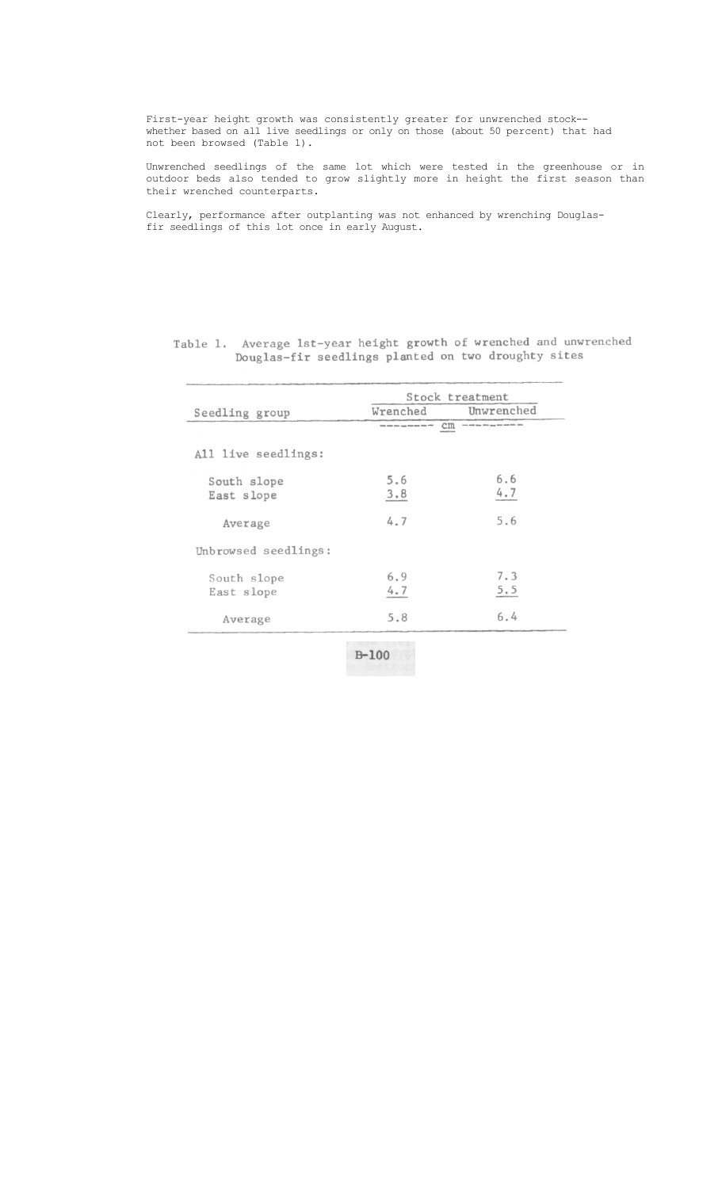First-year height growth was consistently greater for unwrenched stock- whether based on all live seedlings or only on those (about 50 percent) that had not been browsed (Table 1).

Unwrenched seedlings of the same lot which were tested in the greenhouse or in outdoor beds also tended to grow slightly more in height the first season than their wrenched counterparts.

Clearly, performance after outplanting was not enhanced by wrenching Douglasfir seedlings of this lot once in early August.

|                           |                                                                 | Stock treatment                         |  |
|---------------------------|-----------------------------------------------------------------|-----------------------------------------|--|
| Seedling group            | Wrenched                                                        | Unwrenched                              |  |
|                           | $\rm cm$<br>ettab mont sono <sub>home</sub> dopo dann mon vehit | tion and may this may have see with the |  |
| All live seedlings:       |                                                                 |                                         |  |
| South slope<br>East slope | 5.6<br>3.8                                                      | 6.6<br>4.7                              |  |
| Average                   | 4.7                                                             | 5.6                                     |  |
| Unbrowsed seedlings:      |                                                                 |                                         |  |
| South slope<br>East slope | 6.9<br>4.7                                                      | 7.3<br>5.5                              |  |
| Average                   | 5.8                                                             | 6.4                                     |  |
|                           | <b>STATISTICS</b>                                               |                                         |  |

Table 1. Average 1st-year height growth of wrenched and unwrenched<br>Douglas-fir seedlings planted on two droughty sites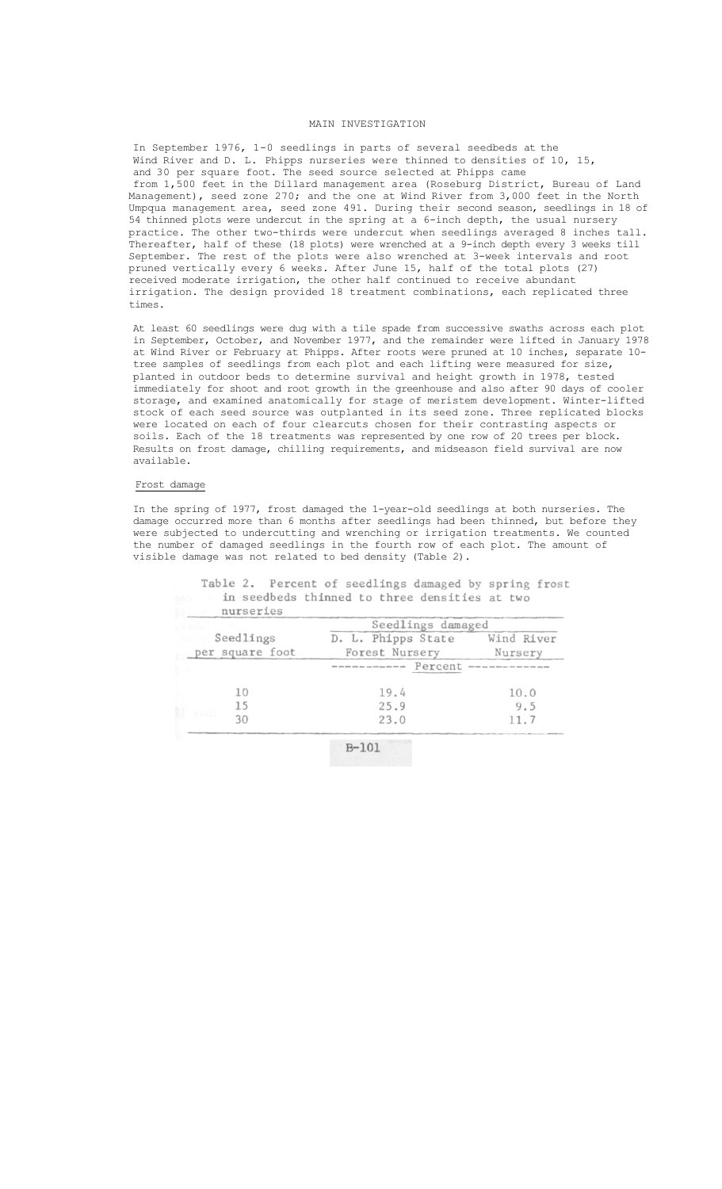## MAIN INVESTIGATION

In September 1976, 1-0 seedlings in parts of several seedbeds at the Wind River and D. L. Phipps nurseries were thinned to densities of 10, 15, and 30 per square foot. The seed source selected at Phipps came from 1,500 feet in the Dillard management area (Roseburg District, Bureau of Land Management), seed zone 270; and the one at Wind River from 3,000 feet in the North Umpqua management area, seed zone 491. During their second season, seedlings in 18 of 54 thinned plots were undercut in the spring at a 6-inch depth, the usual nursery practice. The other two-thirds were undercut when seedlings averaged 8 inches tall. Thereafter, half of these (18 plots) were wrenched at a 9-inch depth every 3 weeks till September. The rest of the plots were also wrenched at 3-week intervals and root pruned vertically every 6 weeks. After June 15, half of the total plots (27) received moderate irrigation, the other half continued to receive abundant irrigation. The design provided 18 treatment combinations, each replicated three times.

At least 60 seedlings were dug with a tile spade from successive swaths across each plot in September, October, and November 1977, and the remainder were lifted in January 1978 at Wind River or February at Phipps. After roots were pruned at 10 inches, separate 10 tree samples of seedlings from each plot and each lifting were measured for size, planted in outdoor beds to determine survival and height growth in 1978, tested immediately for shoot and root growth in the greenhouse and also after 90 days of cooler storage, and examined anatomically for stage of meristem development. Winter-lifted stock of each seed source was outplanted in its seed zone. Three replicated blocks were located on each of four clearcuts chosen for their contrasting aspects or soils. Each of the 18 treatments was represented by one row of 20 trees per block. Results on frost damage, chilling requirements, and midseason field survival are now available.

#### Frost damage

In the spring of 1977, frost damaged the 1-year-old seedlings at both nurseries. The damage occurred more than 6 months after seedlings had been thinned, but before they were subjected to undercutting and wrenching or irrigation treatments. We counted the number of damaged seedlings in the fourth row of each plot. The amount of visible damage was not related to bed density (Table 2).

|                 | Seedlings damaged   |            |  |
|-----------------|---------------------|------------|--|
| Seedlings       | D. L. Phipps State  | Wind River |  |
| per square foot | Forest Nursery      | Nursery    |  |
|                 | ----------- Percent |            |  |
|                 | 19.4                | 10.0       |  |
| 15<br>sant.     | 25.9                | 9.5        |  |
|                 | 23.0                | 11.7       |  |

Table 2. Percent of seedlings damaged by spring frost in seedbeds thinned to three densities at two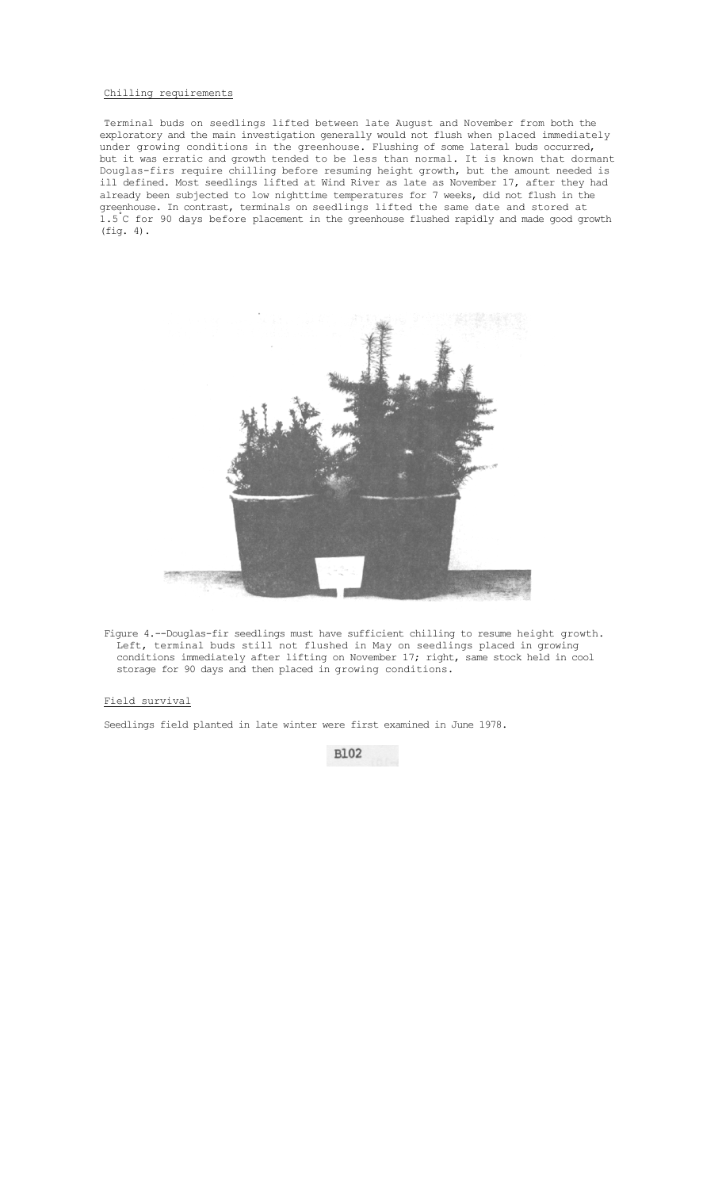## Chilling requirements

Terminal buds on seedlings lifted between late August and November from both the exploratory and the main investigation generally would not flush when placed immediately under growing conditions in the greenhouse. Flushing of some lateral buds occurred, but it was erratic and growth tended to be less than normal. It is known that dormant Douglas-firs require chilling before resuming height growth, but the amount needed is ill defined. Most seedlings lifted at Wind River as late as November 17, after they had already been subjected to low nighttime temperatures for 7 weeks, did not flush in the greenhouse. In contrast, terminals on seedlings lifted the same date and stored at 1.5° C for 90 days before placement in the greenhouse flushed rapidly and made good growth (fig. 4).



Figure 4.--Douglas-fir seedlings must have sufficient chilling to resume height growth. Left, terminal buds still not flushed in May on seedlings placed in growing conditions immediately after lifting on November 17; right, same stock held in cool storage for 90 days and then placed in growing conditions.

## Field survival

Seedlings field planted in late winter were first examined in June 1978.

**B102**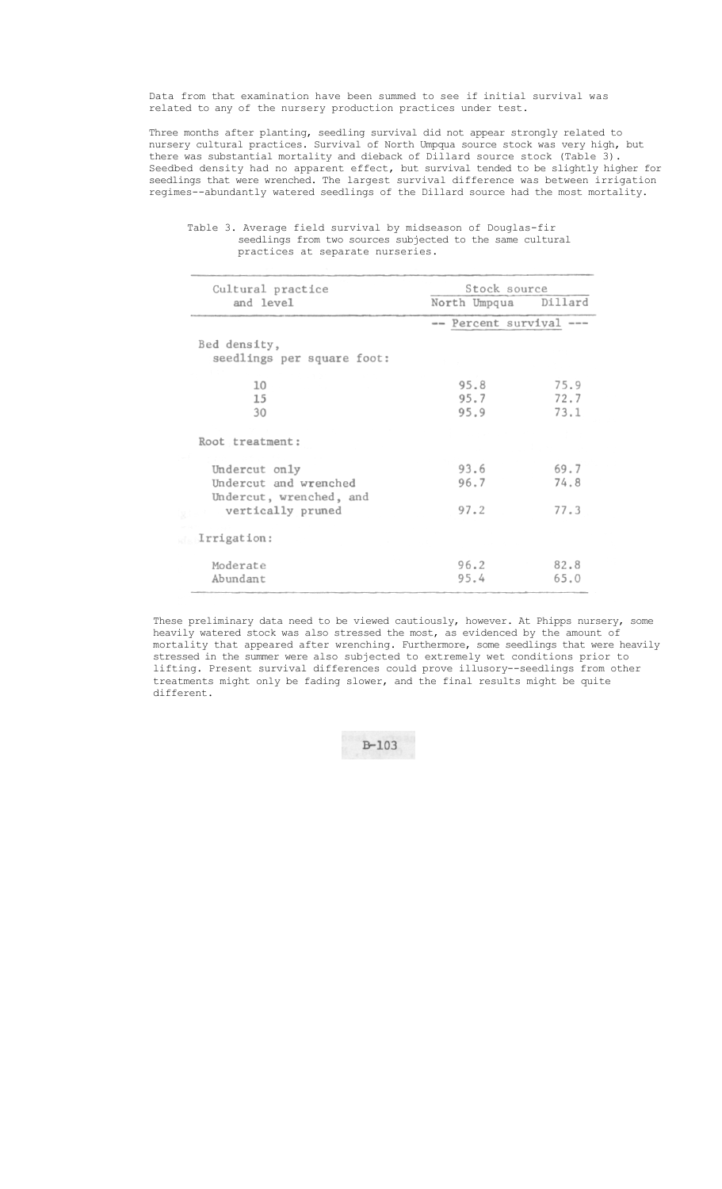## Data from that examination have been summed to see if initial survival was related to any of the nursery production practices under test.

Three months after planting, seedling survival did not appear strongly related to nursery cultural practices. Survival of North Umpqua source stock was very high, but there was substantial mortality and dieback of Dillard source stock (Table 3). Seedbed density had no apparent effect, but survival tended to be slightly higher for seedlings that were wrenched. The largest survival difference was between irrigation regimes--abundantly watered seedlings of the Dillard source had the most mortality.

| Cultural practice                                                 | Stock source            |                      |  |
|-------------------------------------------------------------------|-------------------------|----------------------|--|
| and level                                                         | North Umpqua            | Dillard              |  |
|                                                                   | -- Percent survival --- |                      |  |
| Bed density,<br>seedlings per square foot:                        |                         |                      |  |
| 10<br>15<br>30                                                    | 95.8<br>95.7<br>95.9    | 75.9<br>72.7<br>73.1 |  |
| Root treatment:                                                   |                         |                      |  |
| Undercut only<br>Undercut and wrenched<br>Undercut, wrenched, and | 93.6<br>96.7            | 69.7<br>74.8         |  |
| vertically pruned<br>Irrigation:                                  | 97.2                    | 77.3                 |  |
| Moderate<br>Abundant                                              | 96.2<br>95.4            | 82.8<br>65.0         |  |

## Table 3. Average field survival by midseason of Douglas-fir seedlings from two sources subjected to the same cultural practices at separate nurseries.

These preliminary data need to be viewed cautiously, however. At Phipps nursery, some heavily watered stock was also stressed the most, as evidenced by the amount of mortality that appeared after wrenching. Furthermore, some seedlings that were heavily stressed in the summer were also subjected to extremely wet conditions prior to lifting. Present survival differences could prove illusory--seedlings from other treatments might only be fading slower, and the final results might be quite different.

 $B - 103$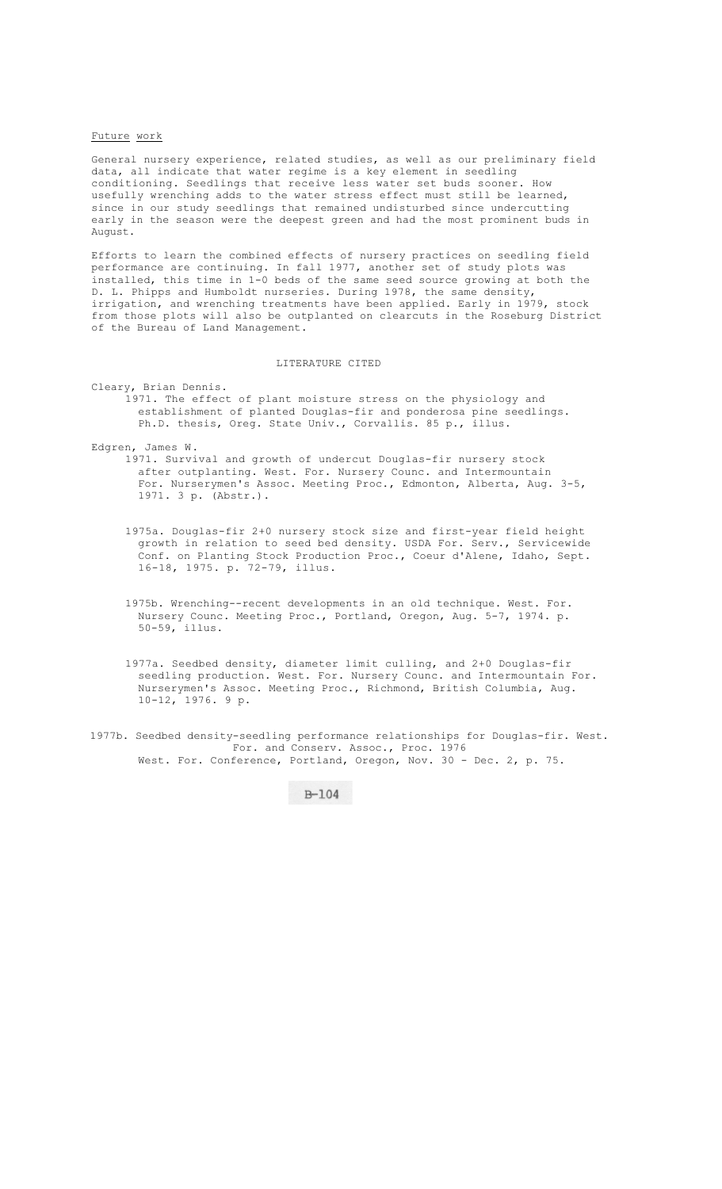# Future work

General nursery experience, related studies, as well as our preliminary field data, all indicate that water regime is a key element in seedling conditioning. Seedlings that receive less water set buds sooner. How usefully wrenching adds to the water stress effect must still be learned, since in our study seedlings that remained undisturbed since undercutting early in the season were the deepest green and had the most prominent buds in August.

Efforts to learn the combined effects of nursery practices on seedling field performance are continuing. In fall 1977, another set of study plots was installed, this time in 1-0 beds of the same seed source growing at both the D. L. Phipps and Humboldt nurseries. During 1978, the same density, irrigation, and wrenching treatments have been applied. Early in 1979, stock from those plots will also be outplanted on clearcuts in the Roseburg District of the Bureau of Land Management.

#### LITERATURE CITED

Cleary, Brian Dennis.

1971. The effect of plant moisture stress on the physiology and establishment of planted Douglas-fir and ponderosa pine seedlings. Ph.D. thesis, Oreg. State Univ., Corvallis. 85 p., illus.

Edgren, James W.

1971. Survival and growth of undercut Douglas-fir nursery stock after outplanting. West. For. Nursery Counc. and Intermountain For. Nurserymen's Assoc. Meeting Proc., Edmonton, Alberta, Aug. 3-5, 1971. 3 p. (Abstr.).

- 1975a. Douglas-fir 2+0 nursery stock size and first-year field height growth in relation to seed bed density. USDA For. Serv., Servicewide Conf. on Planting Stock Production Proc., Coeur d'Alene, Idaho, Sept. 16-18, 1975. p. 72-79, illus.
- 1975b. Wrenching--recent developments in an old technique. West. For. Nursery Counc. Meeting Proc., Portland, Oregon, Aug. 5-7, 1974. p. 50-59, illus.
- 1977a. Seedbed density, diameter limit culling, and 2+0 Douglas-fir seedling production. West. For. Nursery Counc. and Intermountain For. Nurserymen's Assoc. Meeting Proc., Richmond, British Columbia, Aug. 10-12, 1976. 9 p.
- 1977b. Seedbed density-seedling performance relationships for Douglas-fir. West. For. and Conserv. Assoc., Proc. 1976 West. For. Conference, Portland, Oregon, Nov. 30 - Dec. 2, p. 75.